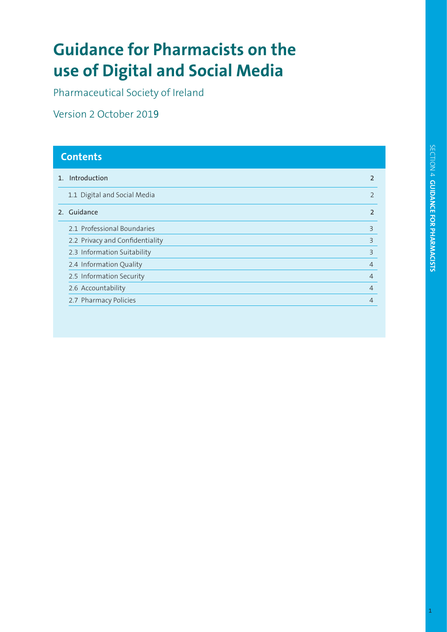# **use of Digital and Social Media Guidance for Pharmacists on the**

Pharmaceutical Society of Ireland

Version 2 October 2019

| <b>Contents</b> |                                 |                |
|-----------------|---------------------------------|----------------|
|                 | 1. Introduction                 | $\mathbf{p}$   |
|                 | 1.1 Digital and Social Media    | $\overline{2}$ |
|                 | 2. Guidance                     | $\mathbf{p}$   |
|                 | 2.1 Professional Boundaries     | 3              |
|                 | 2.2 Privacy and Confidentiality | 3              |
|                 | 2.3 Information Suitability     | 3              |
|                 | 2.4 Information Quality         | $\overline{4}$ |
|                 | 2.5 Information Security        | $\overline{4}$ |
|                 | 2.6 Accountability              | $\overline{4}$ |
|                 | 2.7 Pharmacy Policies           | 4              |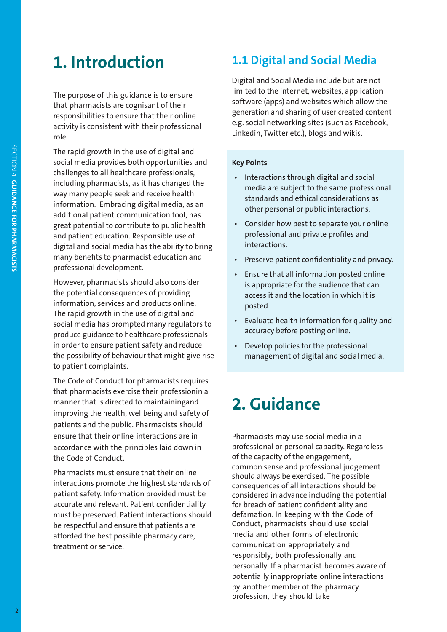### **1. Introduction**

role. activity is consistent with their professional responsibilities to ensure that their online that pharmacists are cognisant of their The purpose of this guidance is to ensure

 information. Embracing digital media, as an professional development. many benefits to pharmacist education and digital and social media has the ability to bring and patient education. Responsible use of great potential to contribute to public health additional patient communication tool, has way many people seek and receive health including pharmacists, as it has changed the challenges to all healthcare professionals, social media provides both opportunities and The rapid growth in the use of digital and

to patient complaints. the possibility of behaviour that might give rise in order to ensure patient safety and reduce produce guidance to healthcare professionals social media has prompted many regulators to The rapid growth in the use of digital and information, services and products online. the potential consequences of providing However, pharmacists should also consider

the Code of Conduct. accordance with the principles laid down in ensure that their online interactions are in patients and the public. Pharmacists should improving the health, wellbeing and safety of manner that is directed to maintainingand that pharmacists exercise their professionin a The Code of Conduct for pharmacists requires

treatment or service. afforded the best possible pharmacy care, be respectful and ensure that patients are must be preserved. Patient interactions should accurate and relevant. Patient confidentiality patient safety. Information provided must be interactions promote the highest standards of Pharmacists must ensure that their online

### **1.1 Digital and Social Media**

Digital and Social Media include but are not limited to the internet, websites, application software (apps) and websites which allow the generation and sharing of user created content e.g. social networking sites (such as Facebook, Linkedin, Twitter etc.), blogs and wikis.

#### **Key Points**

- • Interactions through digital and social media are subject to the same professional standards and ethical considerations as other personal or public interactions.
- • Consider how best to separate your online professional and private profiles and interactions.
- • Preserve patient confidentiality and privacy.
- • Ensure that all information posted online is appropriate for the audience that can access it and the location in which it is posted.
- • Evaluate health information for quality and accuracy before posting online.
- • Develop policies for the professional management of digital and social media.

## **2. Guidance**

profession, they should take by another member of the pharmacy potentially inappropriate online interactions personally. If a pharmacist becomes aware of responsibly, both professionally and communication appropriately and media and other forms of electronic Conduct, pharmacists should use social defamation. In keeping with the Code of for breach of patient confidentiality and considered in advance including the potential consequences of all interactions should be should always be exercised. The possible common sense and professional judgement of the capacity of the engagement, professional or personal capacity. Regardless Pharmacists may use social media in a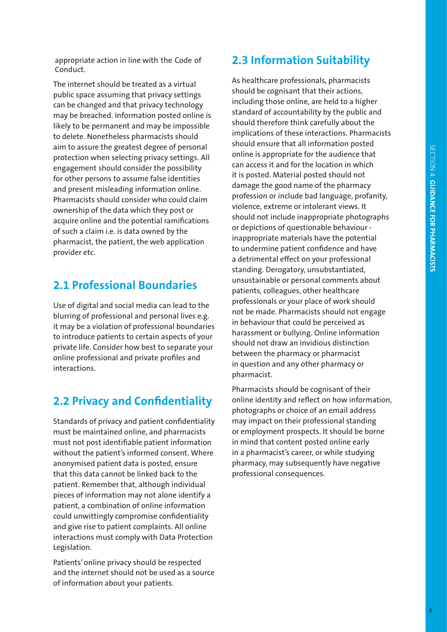Conduct. appropriate action in line with the Code of

provider etc. pharmacist, the patient, the web application of such a claim i.e. is data owned by the acquire online and the potential ramifications ownership of the data which they post or Pharmacists should consider who could claim and present misleading information online. for other persons to assume false identities engagement should consider the possibility protection when selecting privacy settings. All aim to assure the greatest degree of personal to delete. Nonetheless pharmacists should likely to be permanent and may be impossible may be breached. Information posted online is can be changed and that privacy technology public space assuming that privacy settings The internet should be treated as a virtual

#### **2.1 Professional Boundaries**

interactions. online professional and private profiles and private life. Consider how best to separate your to introduce patients to certain aspects of your it may be a violation of professional boundaries blurring of professional and personal lives e.g. Use of digital and social media can lead to the

#### **2.2 Privacy and Confidentiality**

Legislation. interactions must comply with Data Protection and give rise to patient complaints. All online could unwittingly compromise confidentiality patient, a combination of online information pieces of information may not alone identify a patient. Remember that, although individual that this data cannot be linked back to the anonymised patient data is posted, ensure without the patient's informed consent. Where must not post identifiable patient information must be maintained online, and pharmacists Standards of privacy and patient confidentiality

of information about your patients. and the internet should not be used as a source Patients' online privacy should be respected

#### **2.3 Information Suitability**

As healthcare professionals, pharmacists should be cognisant that their actions, including those online, are held to a higher standard of accountability by the public and should therefore think carefully about the implications of these interactions. Pharmacists should ensure that all information posted online is appropriate for the audience that can access it and for the location in which it is posted. Material posted should not damage the good name of the pharmacy profession or include bad language, profanity, violence, extreme or intolerant views. It should not include inappropriate photographs or depictions of questionable behaviour inappropriate materials have the potential to undermine patient confidence and have a detrimental effect on your professional standing. Derogatory, unsubstantiated, unsustainable or personal comments about patients, colleagues, other healthcare professionals or your place of work should not be made. Pharmacists should not engage in behaviour that could be perceived as harassment or bullying. Online information should not draw an invidious distinction between the pharmacy or pharmacist in question and any other pharmacy or pharmacist.

Pharmacists should be cognisant of their online identity and reflect on how information, photographs or choice of an email address may impact on their professional standing or employment prospects. It should be borne in mind that content posted online early in a pharmacist's career, or while studying pharmacy, may subsequently have negative professional consequences.